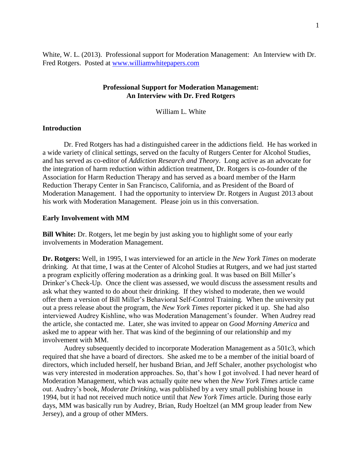White, W. L. (2013). Professional support for Moderation Management: An Interview with Dr. Fred Rotgers. Posted at [www.williamwhitepapers.com](http://www.williamwhitepapers.com/)

# **Professional Support for Moderation Management: An Interview with Dr. Fred Rotgers**

William L. White

## **Introduction**

Dr. Fred Rotgers has had a distinguished career in the addictions field. He has worked in a wide variety of clinical settings, served on the faculty of Rutgers Center for Alcohol Studies, and has served as co-editor of *Addiction Research and Theory*. Long active as an advocate for the integration of harm reduction within addiction treatment, Dr. Rotgers is co-founder of the Association for Harm Reduction Therapy and has served as a board member of the Harm Reduction Therapy Center in San Francisco, California, and as President of the Board of Moderation Management. I had the opportunity to interview Dr. Rotgers in August 2013 about his work with Moderation Management. Please join us in this conversation.

## **Early Involvement with MM**

**Bill White:** Dr. Rotgers, let me begin by just asking you to highlight some of your early involvements in Moderation Management.

**Dr. Rotgers:** Well, in 1995, I was interviewed for an article in the *New York Times* on moderate drinking. At that time, I was at the Center of Alcohol Studies at Rutgers, and we had just started a program explicitly offering moderation as a drinking goal. It was based on Bill Miller's Drinker's Check-Up. Once the client was assessed, we would discuss the assessment results and ask what they wanted to do about their drinking. If they wished to moderate, then we would offer them a version of Bill Miller's Behavioral Self-Control Training. When the university put out a press release about the program, the *New York Times* reporter picked it up. She had also interviewed Audrey Kishline, who was Moderation Management's founder. When Audrey read the article, she contacted me. Later, she was invited to appear on *Good Morning America* and asked me to appear with her. That was kind of the beginning of our relationship and my involvement with MM.

Audrey subsequently decided to incorporate Moderation Management as a 501c3, which required that she have a board of directors. She asked me to be a member of the initial board of directors, which included herself, her husband Brian, and Jeff Schaler, another psychologist who was very interested in moderation approaches. So, that's how I got involved. I had never heard of Moderation Management, which was actually quite new when the *New York Times* article came out. Audrey's book, *Moderate Drinking*, was published by a very small publishing house in 1994, but it had not received much notice until that *New York Times* article. During those early days, MM was basically run by Audrey, Brian, Rudy Hoeltzel (an MM group leader from New Jersey), and a group of other MMers.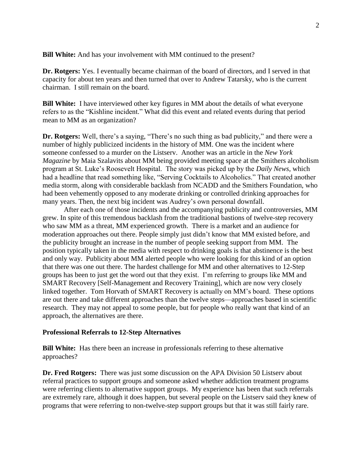**Bill White:** And has your involvement with MM continued to the present?

**Dr. Rotgers:** Yes. I eventually became chairman of the board of directors, and I served in that capacity for about ten years and then turned that over to Andrew Tatarsky, who is the current chairman. I still remain on the board.

**Bill White:** I have interviewed other key figures in MM about the details of what everyone refers to as the "Kishline incident." What did this event and related events during that period mean to MM as an organization?

**Dr. Rotgers:** Well, there's a saying, "There's no such thing as bad publicity," and there were a number of highly publicized incidents in the history of MM. One was the incident where someone confessed to a murder on the Listserv. Another was an article in the *New York Magazine* by Maia Szalavits about MM being provided meeting space at the Smithers alcoholism program at St. Luke's Roosevelt Hospital. The story was picked up by the *Daily News*, which had a headline that read something like, "Serving Cocktails to Alcoholics." That created another media storm, along with considerable backlash from NCADD and the Smithers Foundation, who had been vehemently opposed to any moderate drinking or controlled drinking approaches for many years. Then, the next big incident was Audrey's own personal downfall.

After each one of those incidents and the accompanying publicity and controversies, MM grew. In spite of this tremendous backlash from the traditional bastions of twelve-step recovery who saw MM as a threat, MM experienced growth. There is a market and an audience for moderation approaches out there. People simply just didn't know that MM existed before, and the publicity brought an increase in the number of people seeking support from MM. The position typically taken in the media with respect to drinking goals is that abstinence is the best and only way. Publicity about MM alerted people who were looking for this kind of an option that there was one out there. The hardest challenge for MM and other alternatives to 12-Step groups has been to just get the word out that they exist. I'm referring to groups like MM and SMART Recovery [Self-Management and Recovery Training], which are now very closely linked together. Tom Horvath of SMART Recovery is actually on MM's board. These options are out there and take different approaches than the twelve steps—approaches based in scientific research. They may not appeal to some people, but for people who really want that kind of an approach, the alternatives are there.

#### **Professional Referrals to 12-Step Alternatives**

**Bill White:** Has there been an increase in professionals referring to these alternative approaches?

**Dr. Fred Rotgers:** There was just some discussion on the APA Division 50 Listserv about referral practices to support groups and someone asked whether addiction treatment programs were referring clients to alternative support groups. My experience has been that such referrals are extremely rare, although it does happen, but several people on the Listserv said they knew of programs that were referring to non-twelve-step support groups but that it was still fairly rare.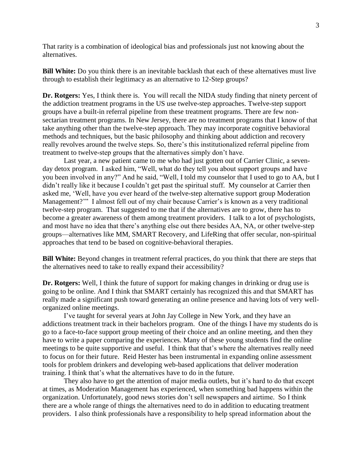That rarity is a combination of ideological bias and professionals just not knowing about the alternatives.

**Bill White:** Do you think there is an inevitable backlash that each of these alternatives must live through to establish their legitimacy as an alternative to 12-Step groups?

**Dr. Rotgers:** Yes, I think there is. You will recall the NIDA study finding that ninety percent of the addiction treatment programs in the US use twelve-step approaches. Twelve-step support groups have a built-in referral pipeline from these treatment programs. There are few nonsectarian treatment programs. In New Jersey, there are no treatment programs that I know of that take anything other than the twelve-step approach. They may incorporate cognitive behavioral methods and techniques, but the basic philosophy and thinking about addiction and recovery really revolves around the twelve steps. So, there's this institutionalized referral pipeline from treatment to twelve-step groups that the alternatives simply don't have.

Last year, a new patient came to me who had just gotten out of Carrier Clinic, a sevenday detox program. I asked him, "Well, what do they tell you about support groups and have you been involved in any?" And he said, "Well, I told my counselor that I used to go to AA, but I didn't really like it because I couldn't get past the spiritual stuff. My counselor at Carrier then asked me, 'Well, have you ever heard of the twelve-step alternative support group Moderation Management?'" I almost fell out of my chair because Carrier's is known as a very traditional twelve-step program. That suggested to me that if the alternatives are to grow, there has to become a greater awareness of them among treatment providers. I talk to a lot of psychologists, and most have no idea that there's anything else out there besides AA, NA, or other twelve-step groups—alternatives like MM, SMART Recovery, and LifeRing that offer secular, non-spiritual approaches that tend to be based on cognitive-behavioral therapies.

**Bill White:** Beyond changes in treatment referral practices, do you think that there are steps that the alternatives need to take to really expand their accessibility?

**Dr. Rotgers:** Well, I think the future of support for making changes in drinking or drug use is going to be online. And I think that SMART certainly has recognized this and that SMART has really made a significant push toward generating an online presence and having lots of very wellorganized online meetings.

I've taught for several years at John Jay College in New York, and they have an addictions treatment track in their bachelors program. One of the things I have my students do is go to a face-to-face support group meeting of their choice and an online meeting, and then they have to write a paper comparing the experiences. Many of these young students find the online meetings to be quite supportive and useful. I think that that's where the alternatives really need to focus on for their future. Reid Hester has been instrumental in expanding online assessment tools for problem drinkers and developing web-based applications that deliver moderation training. I think that's what the alternatives have to do in the future.

They also have to get the attention of major media outlets, but it's hard to do that except at times, as Moderation Management has experienced, when something bad happens within the organization. Unfortunately, good news stories don't sell newspapers and airtime. So I think there are a whole range of things the alternatives need to do in addition to educating treatment providers. I also think professionals have a responsibility to help spread information about the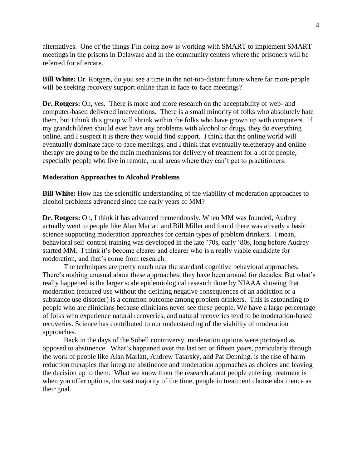alternatives. One of the things I'm doing now is working with SMART to implement SMART meetings in the prisons in Delaware and in the community centers where the prisoners will be referred for aftercare.

**Bill White:** Dr. Rotgers, do you see a time in the not-too-distant future where far more people will be seeking recovery support online than in face-to-face meetings?

**Dr. Rotgers:** Oh, yes. There is more and more research on the acceptability of web- and computer-based delivered interventions. There is a small minority of folks who absolutely hate them, but I think this group will shrink within the folks who have grown up with computers. If my grandchildren should ever have any problems with alcohol or drugs, they do everything online, and I suspect it is there they would find support. I think that the online world will eventually dominate face-to-face meetings, and I think that eventually teletherapy and online therapy are going to be the main mechanisms for delivery of treatment for a lot of people, especially people who live in remote, rural areas where they can't get to practitioners.

## **Moderation Approaches to Alcohol Problems**

**Bill White:** How has the scientific understanding of the viability of moderation approaches to alcohol problems advanced since the early years of MM?

**Dr. Rotgers:** Oh, I think it has advanced tremendously. When MM was founded, Audrey actually went to people like Alan Marlatt and Bill Miller and found there was already a basic science supporting moderation approaches for certain types of problem drinkers. I mean, behavioral self-control training was developed in the late '70s, early '80s, long before Audrey started MM. I think it's become clearer and clearer who is a really viable candidate for moderation, and that's come from research.

The techniques are pretty much near the standard cognitive behavioral approaches. There's nothing unusual about these approaches; they have been around for decades. But what's really happened is the larger scale epidemiological research done by NIAAA showing that moderation (reduced use without the defining negative consequences of an addiction or a substance use disorder) is a common outcome among problem drinkers. This is astounding to people who are clinicians because clinicians never see these people. We have a large percentage of folks who experience natural recoveries, and natural recoveries tend to be moderation-based recoveries. Science has contributed to our understanding of the viability of moderation approaches.

Back in the days of the Sobell controversy, moderation options were portrayed as opposed to abstinence. What's happened over the last ten or fifteen years, particularly through the work of people like Alan Marlatt, Andrew Tatarsky, and Pat Denning, is the rise of harm reduction therapies that integrate abstinence and moderation approaches as choices and leaving the decision up to them. What we know from the research about people entering treatment is when you offer options, the vast majority of the time, people in treatment choose abstinence as their goal.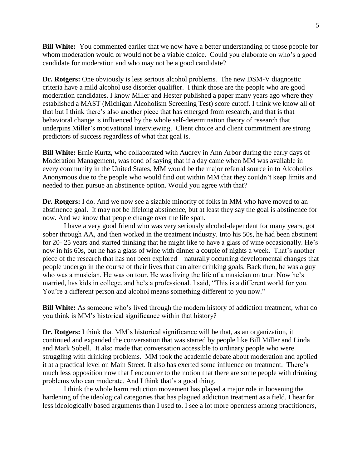**Bill White:** You commented earlier that we now have a better understanding of those people for whom moderation would or would not be a viable choice. Could you elaborate on who's a good candidate for moderation and who may not be a good candidate?

**Dr. Rotgers:** One obviously is less serious alcohol problems. The new DSM-V diagnostic criteria have a mild alcohol use disorder qualifier. I think those are the people who are good moderation candidates. I know Miller and Hester published a paper many years ago where they established a MAST (Michigan Alcoholism Screening Test) score cutoff. I think we know all of that but I think there's also another piece that has emerged from research, and that is that behavioral change is influenced by the whole self-determination theory of research that underpins Miller's motivational interviewing. Client choice and client commitment are strong predictors of success regardless of what that goal is.

**Bill White:** Ernie Kurtz, who collaborated with Audrey in Ann Arbor during the early days of Moderation Management, was fond of saying that if a day came when MM was available in every community in the United States, MM would be the major referral source in to Alcoholics Anonymous due to the people who would find out within MM that they couldn't keep limits and needed to then pursue an abstinence option. Would you agree with that?

**Dr. Rotgers:** I do. And we now see a sizable minority of folks in MM who have moved to an abstinence goal. It may not be lifelong abstinence, but at least they say the goal is abstinence for now. And we know that people change over the life span.

I have a very good friend who was very seriously alcohol-dependent for many years, got sober through AA, and then worked in the treatment industry. Into his 50s, he had been abstinent for 20- 25 years and started thinking that he might like to have a glass of wine occasionally. He's now in his 60s, but he has a glass of wine with dinner a couple of nights a week. That's another piece of the research that has not been explored—naturally occurring developmental changes that people undergo in the course of their lives that can alter drinking goals. Back then, he was a guy who was a musician. He was on tour. He was living the life of a musician on tour. Now he's married, has kids in college, and he's a professional. I said, "This is a different world for you. You're a different person and alcohol means something different to you now."

**Bill White:** As someone who's lived through the modern history of addiction treatment, what do you think is MM's historical significance within that history?

**Dr. Rotgers:** I think that MM's historical significance will be that, as an organization, it continued and expanded the conversation that was started by people like Bill Miller and Linda and Mark Sobell. It also made that conversation accessible to ordinary people who were struggling with drinking problems. MM took the academic debate about moderation and applied it at a practical level on Main Street. It also has exerted some influence on treatment. There's much less opposition now that I encounter to the notion that there are some people with drinking problems who can moderate. And I think that's a good thing.

I think the whole harm reduction movement has played a major role in loosening the hardening of the ideological categories that has plagued addiction treatment as a field. I hear far less ideologically based arguments than I used to. I see a lot more openness among practitioners,